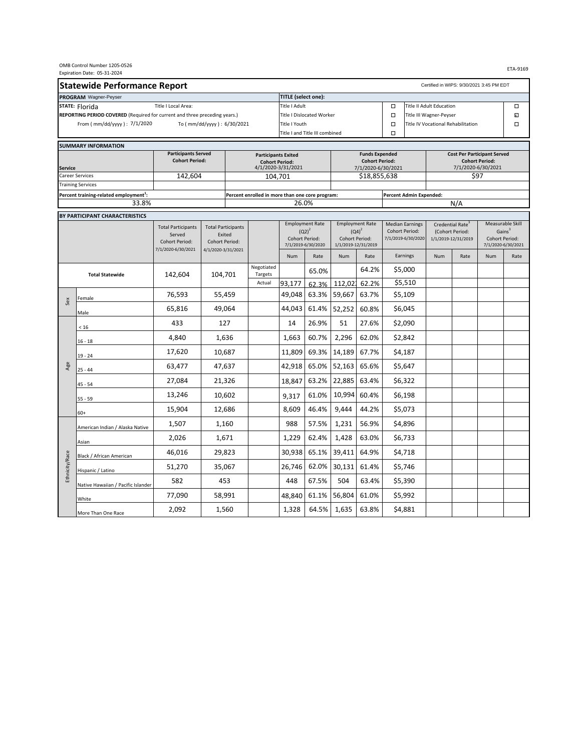| OMB Control Number 1205-0526<br>Expiration Date: 05-31-2024                     |                                                    |                                                                                                                |                               |                                                 |                                                                            |                       |                                                      | ETA-9169            |                                                                |                                    |                                                                        |      |                                                          |      |
|---------------------------------------------------------------------------------|----------------------------------------------------|----------------------------------------------------------------------------------------------------------------|-------------------------------|-------------------------------------------------|----------------------------------------------------------------------------|-----------------------|------------------------------------------------------|---------------------|----------------------------------------------------------------|------------------------------------|------------------------------------------------------------------------|------|----------------------------------------------------------|------|
| <b>Statewide Performance Report</b><br>Certified in WIPS: 9/30/2021 3:45 PM EDT |                                                    |                                                                                                                |                               |                                                 |                                                                            |                       |                                                      |                     |                                                                |                                    |                                                                        |      |                                                          |      |
| TITLE (select one):<br>PROGRAM Wagner-Peyser                                    |                                                    |                                                                                                                |                               |                                                 |                                                                            |                       |                                                      |                     |                                                                |                                    |                                                                        |      |                                                          |      |
| Title I Local Area:<br>STATE: Florida                                           |                                                    |                                                                                                                |                               |                                                 | Title I Adult                                                              |                       |                                                      |                     | □                                                              | <b>Title II Adult Education</b>    |                                                                        |      | □                                                        |      |
| REPORTING PERIOD COVERED (Required for current and three preceding years.)      |                                                    |                                                                                                                |                               |                                                 | <b>Title I Dislocated Worker</b>                                           |                       |                                                      | $\Box$              | Title III Wagner-Peyser                                        |                                    |                                                                        | K.   |                                                          |      |
|                                                                                 | From ( mm/dd/yyyy ) : 7/1/2020                     |                                                                                                                | To ( mm/dd/yyyy ) : 6/30/2021 |                                                 | Title I Youth                                                              |                       |                                                      |                     | $\Box$                                                         | Title IV Vocational Rehabilitation |                                                                        |      | $\Box$                                                   |      |
|                                                                                 |                                                    |                                                                                                                |                               |                                                 | Title I and Title III combined                                             |                       |                                                      |                     | $\Box$                                                         |                                    |                                                                        |      |                                                          |      |
|                                                                                 | <b>SUMMARY INFORMATION</b>                         |                                                                                                                |                               |                                                 |                                                                            |                       |                                                      |                     |                                                                |                                    |                                                                        |      |                                                          |      |
|                                                                                 |                                                    | <b>Participants Served</b>                                                                                     |                               | <b>Participants Exited</b>                      |                                                                            | <b>Funds Expended</b> |                                                      |                     | <b>Cost Per Participant Served</b>                             |                                    |                                                                        |      |                                                          |      |
| <b>Service</b>                                                                  |                                                    | <b>Cohort Period:</b>                                                                                          |                               |                                                 | <b>Cohort Period:</b><br>4/1/2020-3/31/2021                                |                       | <b>Cohort Period:</b><br>7/1/2020-6/30/2021          |                     |                                                                |                                    | <b>Cohort Period:</b><br>7/1/2020-6/30/2021                            |      |                                                          |      |
|                                                                                 | <b>Career Services</b>                             | 142,604                                                                                                        |                               |                                                 | 104,701                                                                    |                       |                                                      | \$18,855,638        |                                                                |                                    | \$97                                                                   |      |                                                          |      |
|                                                                                 | <b>Training Services</b>                           |                                                                                                                |                               |                                                 |                                                                            |                       |                                                      |                     |                                                                |                                    |                                                                        |      |                                                          |      |
|                                                                                 | Percent training-related employment <sup>1</sup> : |                                                                                                                |                               | Percent enrolled in more than one core program: |                                                                            |                       | Percent Admin Expended:                              |                     |                                                                |                                    |                                                                        |      |                                                          |      |
|                                                                                 | 33.8%                                              |                                                                                                                |                               |                                                 | 26.0%                                                                      |                       |                                                      |                     |                                                                |                                    |                                                                        | N/A  |                                                          |      |
|                                                                                 | BY PARTICIPANT CHARACTERISTICS                     |                                                                                                                |                               |                                                 |                                                                            |                       |                                                      |                     |                                                                |                                    |                                                                        |      |                                                          |      |
|                                                                                 |                                                    | <b>Total Participants</b><br><b>Total Participants</b><br>Served<br>Exited<br>Cohort Period:<br>Cohort Period: |                               |                                                 | <b>Employment Rate</b><br>$(Q2)^2$<br>Cohort Period:<br>7/1/2019-6/30/2020 |                       | <b>Employment Rate</b><br>$(Q4)^2$<br>Cohort Period: |                     | <b>Median Earnings</b><br>Cohort Period:<br>7/1/2019-6/30/2020 |                                    | Credential Rate <sup>3</sup><br>(Cohort Period:<br>1/1/2019-12/31/2019 |      | Measurable Skill<br>Gains <sup>3</sup><br>Cohort Period: |      |
|                                                                                 |                                                    |                                                                                                                |                               |                                                 |                                                                            |                       |                                                      |                     |                                                                |                                    |                                                                        |      |                                                          |      |
|                                                                                 |                                                    | 7/1/2020-6/30/2021                                                                                             | 4/1/2020-3/31/2021            |                                                 |                                                                            |                       |                                                      | 1/1/2019-12/31/2019 |                                                                |                                    |                                                                        |      | 7/1/2020-6/30/2021                                       |      |
|                                                                                 |                                                    |                                                                                                                |                               |                                                 | Num                                                                        | Rate                  | Num                                                  | Rate                |                                                                | Earnings                           | Num                                                                    | Rate | Num                                                      | Rate |
|                                                                                 | <b>Total Statewide</b>                             | 142,604                                                                                                        | 104,701                       | Negotiated<br>Targets                           |                                                                            | 65.0%                 |                                                      | 64.2%               |                                                                | \$5,000                            |                                                                        |      |                                                          |      |
| Sex                                                                             |                                                    |                                                                                                                |                               | Actual                                          | 93,177                                                                     | 62.3%                 | 112,02                                               | 62.2%               |                                                                | \$5,510                            |                                                                        |      |                                                          |      |
|                                                                                 | Female                                             | 76,593                                                                                                         | 55,459                        |                                                 | 49,048                                                                     | 63.3%                 | 59,667                                               | 63.7%               |                                                                | \$5,109                            |                                                                        |      |                                                          |      |
|                                                                                 | Male                                               | 65,816                                                                                                         | 49,064                        |                                                 | 44,043                                                                     | 61.4%                 | 52,252                                               | 60.8%               |                                                                | \$6,045                            |                                                                        |      |                                                          |      |
|                                                                                 | $<16$                                              | 433                                                                                                            | 127                           |                                                 | 14                                                                         | 26.9%                 | 51                                                   | 27.6%               |                                                                | \$2,090                            |                                                                        |      |                                                          |      |
|                                                                                 | $16 - 18$                                          | 4,840                                                                                                          | 1,636                         |                                                 | 1,663                                                                      | 60.7%                 | 2,296                                                | 62.0%               |                                                                | \$2,842                            |                                                                        |      |                                                          |      |
|                                                                                 | $19 - 24$                                          | 17,620                                                                                                         | 10,687                        |                                                 | 11,809                                                                     | 69.3%                 | 14,189                                               | 67.7%               |                                                                | \$4,187                            |                                                                        |      |                                                          |      |
| Age                                                                             | $25 - 44$                                          | 63,477                                                                                                         | 47,637                        |                                                 | 42,918                                                                     | 65.0%                 | 52,163                                               | 65.6%               |                                                                | \$5,647                            |                                                                        |      |                                                          |      |
|                                                                                 | $45 - 54$                                          | 27,084                                                                                                         | 21,326                        |                                                 | 18,847                                                                     | 63.2%                 | 22,885                                               | 63.4%               |                                                                | \$6,322                            |                                                                        |      |                                                          |      |
|                                                                                 | 55 - 59                                            | 13,246                                                                                                         | 10,602                        |                                                 | 9,317                                                                      | 61.0%                 | 10,994                                               | 60.4%               |                                                                | \$6,198                            |                                                                        |      |                                                          |      |
|                                                                                 | $60+$                                              | 15,904                                                                                                         | 12,686                        |                                                 | 8,609                                                                      | 46.4%                 | 9,444                                                | 44.2%               |                                                                | \$5,073                            |                                                                        |      |                                                          |      |
|                                                                                 | American Indian / Alaska Native                    | 1,507                                                                                                          | 1,160                         |                                                 | 988                                                                        | 57.5%                 | 1,231                                                | 56.9%               |                                                                | \$4,896                            |                                                                        |      |                                                          |      |
|                                                                                 | Asian                                              | 2,026                                                                                                          | 1,671                         |                                                 | 1,229                                                                      | 62.4%                 | 1,428                                                | 63.0%               |                                                                | \$6,733                            |                                                                        |      |                                                          |      |
| Ethnicity/Race                                                                  | Black / African American                           | 46,016                                                                                                         | 29,823                        |                                                 | 30,938                                                                     | 65.1%                 | 39,411                                               | 64.9%               |                                                                | \$4,718                            |                                                                        |      |                                                          |      |
|                                                                                 | Hispanic / Latino                                  | 51,270                                                                                                         | 35,067                        |                                                 | 26,746                                                                     | 62.0%                 | 30,131                                               | 61.4%               |                                                                | \$5,746                            |                                                                        |      |                                                          |      |
|                                                                                 | Native Hawaiian / Pacific Islander                 | 582                                                                                                            | 453                           |                                                 | 448                                                                        | 67.5%                 | 504                                                  | 63.4%               |                                                                | \$5,390                            |                                                                        |      |                                                          |      |
|                                                                                 | White                                              | 77,090                                                                                                         | 58,991                        |                                                 | 48,840                                                                     | 61.1%                 | 56,804                                               | 61.0%               |                                                                | \$5,992                            |                                                                        |      |                                                          |      |
|                                                                                 | More Than One Race                                 | 2,092                                                                                                          | 1,560                         |                                                 | 1,328                                                                      | 64.5%                 | 1,635                                                | 63.8%               |                                                                | \$4,881                            |                                                                        |      |                                                          |      |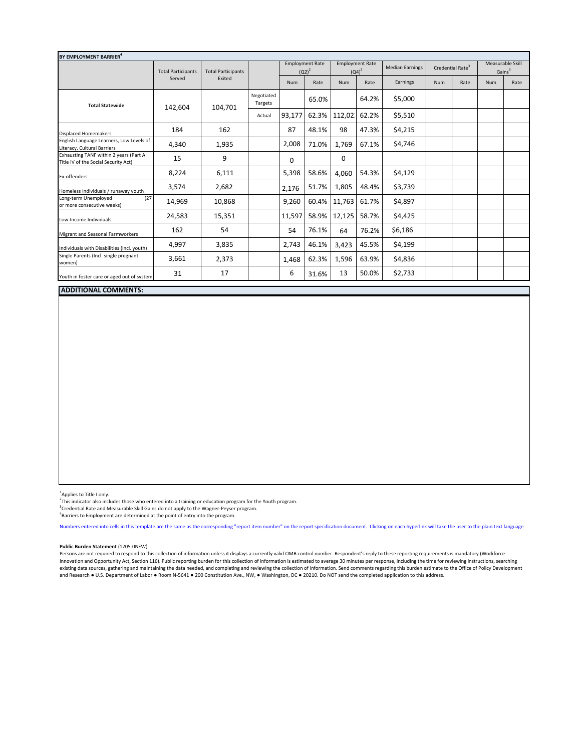| BY EMPLOYMENT BARRIER <sup>4</sup>                                             |                           |                           |                       |                                    |       |          |                                    |                        |                              |      |                                        |      |
|--------------------------------------------------------------------------------|---------------------------|---------------------------|-----------------------|------------------------------------|-------|----------|------------------------------------|------------------------|------------------------------|------|----------------------------------------|------|
|                                                                                | <b>Total Participants</b> | <b>Total Participants</b> |                       | <b>Employment Rate</b><br>$(Q2)^2$ |       |          | <b>Employment Rate</b><br>$(Q4)^2$ | <b>Median Earnings</b> | Credential Rate <sup>3</sup> |      | Measurable Skill<br>Gains <sup>3</sup> |      |
|                                                                                | Served                    | Exited                    |                       | Num                                | Rate  | Num      | Rate                               | Earnings               | <b>Num</b>                   | Rate | <b>Num</b>                             | Rate |
| <b>Total Statewide</b>                                                         | 142,604                   | 104,701                   | Negotiated<br>Targets |                                    | 65.0% |          | 64.2%                              | \$5,000                |                              |      |                                        |      |
|                                                                                |                           |                           | Actual                | 93,177                             | 62.3% | 112,02   | 62.2%                              | \$5,510                |                              |      |                                        |      |
| <b>Displaced Homemakers</b>                                                    | 184                       | 162                       |                       | 87                                 | 48.1% | 98       | 47.3%                              | \$4,215                |                              |      |                                        |      |
| English Language Learners, Low Levels of<br>Literacy, Cultural Barriers        | 4,340                     | 1,935                     |                       | 2,008                              | 71.0% | 1,769    | 67.1%                              | \$4,746                |                              |      |                                        |      |
| Exhausting TANF within 2 years (Part A<br>Title IV of the Social Security Act) | 15                        | 9                         |                       | $\Omega$                           |       | $\Omega$ |                                    |                        |                              |      |                                        |      |
| Ex-offenders                                                                   | 8,224                     | 6,111                     |                       | 5,398                              | 58.6% | 4,060    | 54.3%                              | \$4,129                |                              |      |                                        |      |
| Homeless Individuals / runaway youth                                           | 3,574                     | 2,682                     |                       | 2,176                              | 51.7% | 1,805    | 48.4%                              | \$3,739                |                              |      |                                        |      |
| Long-term Unemployed<br>(27)<br>or more consecutive weeks)                     | 14,969                    | 10,868                    |                       | 9,260                              | 60.4% | 11,763   | 61.7%                              | \$4,897                |                              |      |                                        |      |
| Low-Income Individuals                                                         | 24,583                    | 15,351                    |                       | 11,597                             | 58.9% | 12,125   | 58.7%                              | \$4,425                |                              |      |                                        |      |
| Migrant and Seasonal Farmworkers                                               | 162                       | 54                        |                       | 54                                 | 76.1% | 64       | 76.2%                              | \$6,186                |                              |      |                                        |      |
| Individuals with Disabilities (incl. youth)                                    | 4,997                     | 3,835                     |                       | 2,743                              | 46.1% | 3,423    | 45.5%                              | \$4,199                |                              |      |                                        |      |
| Single Parents (Incl. single pregnant<br>women)                                | 3,661                     | 2,373                     |                       | 1,468                              | 62.3% | 1,596    | 63.9%                              | \$4,836                |                              |      |                                        |      |
| Youth in foster care or aged out of system                                     | 31                        | 17                        |                       | 6                                  | 31.6% | 13       | 50.0%                              | \$2,733                |                              |      |                                        |      |

## **ADDITIONAL COMMENTS:**

<sup>1</sup>Applies to Title I only.

 $2\overline{h}$  This indicator also includes those who entered into a training or education program for the Youth program.

"This indicator also includes those who entered into a training or education program for the Youth program.<br><sup>3</sup>Credential Rate and Measurable Skill Gains do not apply to the Wagner-Peyser program.<br><sup>4</sup>Pacriers to Employment

Barriers to Employment are determined at the point of entry into the program.

Numbers entered into cells in this template are the same as the corresponding "report item number" on the report specification document. Clicking on each hyperlink will take the user to the plain text language

## **Public Burden Statement** (1205-0NEW)

Persons are not required to respond to this collection of information unless it displays a currently valid OMB control number. Respondent's reply to these reporting requirements is mandatory (Workforce Innovation and Opportunity Act, Section 116). Public reporting burden for this collection of information is estimated to average 30 minutes per response, including the time for reviewing instructions, searching existing data sources, gathering and maintaining the data needed, and completing and reviewing the collection of information. Send comments regarding this burden estimate to the Office of Policy Development and Research ● U.S. Department of Labor ● Room N-5641 ● 200 Constitution Ave., NW, ● Washington, DC ● 20210. Do NOT send the completed application to this address.